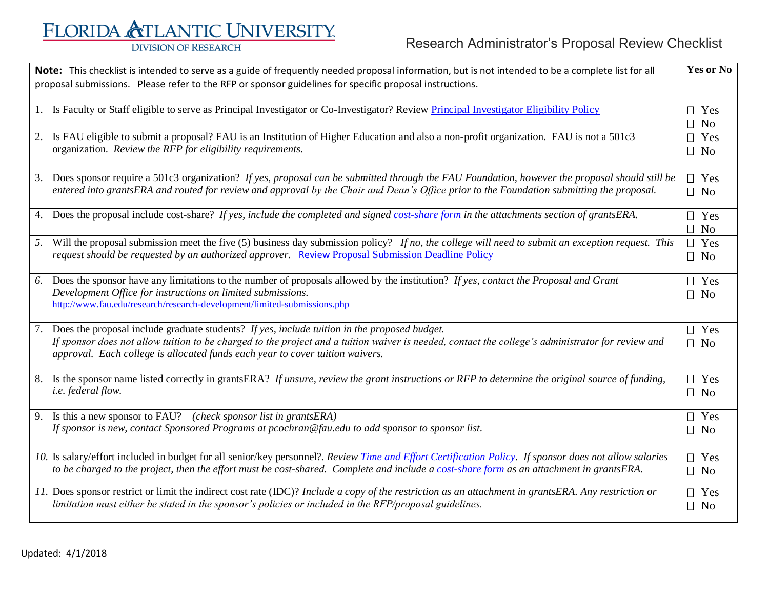## FLORIDA ATLANTIC UNIVERSITY. **DIVISION OF RESEARCH**

| Note: This checklist is intended to serve as a guide of frequently needed proposal information, but is not intended to be a complete list for all<br>proposal submissions. Please refer to the RFP or sponsor guidelines for specific proposal instructions. |                                                                                                                                                                                                                                                                                                                                       | Yes or No                  |
|--------------------------------------------------------------------------------------------------------------------------------------------------------------------------------------------------------------------------------------------------------------|---------------------------------------------------------------------------------------------------------------------------------------------------------------------------------------------------------------------------------------------------------------------------------------------------------------------------------------|----------------------------|
|                                                                                                                                                                                                                                                              | 1. Is Faculty or Staff eligible to serve as Principal Investigator or Co-Investigator? Review Principal Investigator Eligibility Policy                                                                                                                                                                                               | $\Box$ Yes<br>No<br>$\Box$ |
|                                                                                                                                                                                                                                                              | 2. Is FAU eligible to submit a proposal? FAU is an Institution of Higher Education and also a non-profit organization. FAU is not a 501c3<br>organization. Review the RFP for eligibility requirements.                                                                                                                               | $\Box$ Yes<br>$\Box$ No    |
|                                                                                                                                                                                                                                                              | 3. Does sponsor require a 501c3 organization? If yes, proposal can be submitted through the FAU Foundation, however the proposal should still be<br>entered into grantsERA and routed for review and approval by the Chair and Dean's Office prior to the Foundation submitting the proposal.                                         | $\Box$ Yes<br>$\Box$ No    |
|                                                                                                                                                                                                                                                              | 4. Does the proposal include cost-share? If yes, include the completed and signed cost-share form in the attachments section of grantsERA.                                                                                                                                                                                            | $\Box$ Yes<br>$\Box$ No    |
|                                                                                                                                                                                                                                                              | 5. Will the proposal submission meet the five (5) business day submission policy? If no, the college will need to submit an exception request. This<br>request should be requested by an authorized approver. Review Proposal Submission Deadline Policy                                                                              | $\Box$ Yes<br>$\Box$ No    |
|                                                                                                                                                                                                                                                              | 6. Does the sponsor have any limitations to the number of proposals allowed by the institution? If yes, contact the Proposal and Grant<br>Development Office for instructions on limited submissions.<br>http://www.fau.edu/research/research-development/limited-submissions.php                                                     | $\Box$ Yes<br>$\Box$ No    |
|                                                                                                                                                                                                                                                              | 7. Does the proposal include graduate students? If yes, include tuition in the proposed budget.<br>If sponsor does not allow tuition to be charged to the project and a tuition waiver is needed, contact the college's administrator for review and<br>approval. Each college is allocated funds each year to cover tuition waivers. | $\Box$ Yes<br>$\Box$ No    |
|                                                                                                                                                                                                                                                              | 8. Is the sponsor name listed correctly in grantsERA? If unsure, review the grant instructions or RFP to determine the original source of funding,<br><i>i.e.</i> federal flow.                                                                                                                                                       | $\Box$ Yes<br>$\Box$ No    |
|                                                                                                                                                                                                                                                              | 9. Is this a new sponsor to FAU? (check sponsor list in grantsERA)<br>If sponsor is new, contact Sponsored Programs at pcochran@fau.edu to add sponsor to sponsor list.                                                                                                                                                               | $\Box$ Yes<br>$\Box$ No    |
|                                                                                                                                                                                                                                                              | 10. Is salary/effort included in budget for all senior/key personnel?. Review Time and Effort Certification Policy. If sponsor does not allow salaries<br>to be charged to the project, then the effort must be cost-shared. Complete and include a cost-share form as an attachment in grantsERA.                                    | $\Box$ Yes<br>$\Box$ No    |
|                                                                                                                                                                                                                                                              | 11. Does sponsor restrict or limit the indirect cost rate (IDC)? Include a copy of the restriction as an attachment in grantsERA. Any restriction or<br>limitation must either be stated in the sponsor's policies or included in the RFP/proposal guidelines.                                                                        | $\Box$ Yes<br>$\Box$ No    |